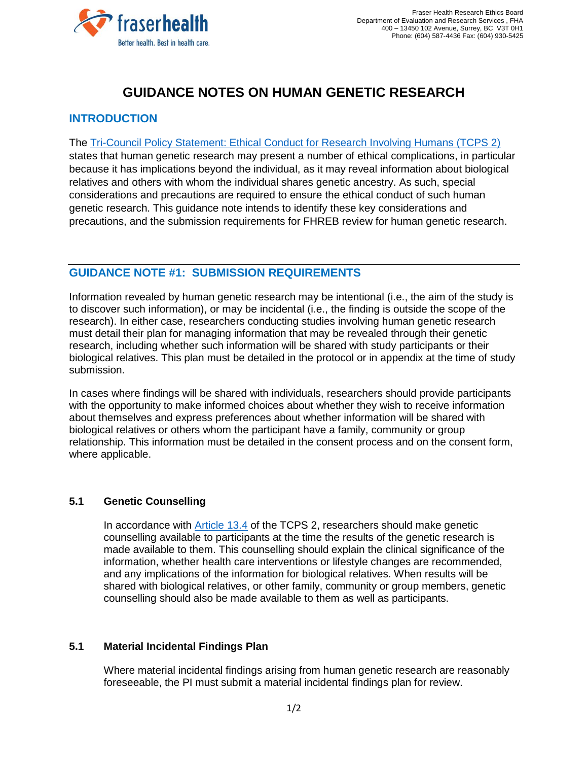

# **GUIDANCE NOTES ON HUMAN GENETIC RESEARCH**

## **INTRODUCTION**

The [Tri-Council Policy Statement: Ethical Conduct for Research Involving Humans \(TCPS 2\)](https://ethics.gc.ca/eng/tcps2-eptc2_2018_chapter13-chapitre13.html) states that human genetic research may present a number of ethical complications, in particular because it has implications beyond the individual, as it may reveal information about biological relatives and others with whom the individual shares genetic ancestry. As such, special considerations and precautions are required to ensure the ethical conduct of such human genetic research. This guidance note intends to identify these key considerations and precautions, and the submission requirements for FHREB review for human genetic research.

## **GUIDANCE NOTE #1: SUBMISSION REQUIREMENTS**

Information revealed by human genetic research may be intentional (i.e., the aim of the study is to discover such information), or may be incidental (i.e., the finding is outside the scope of the research). In either case, researchers conducting studies involving human genetic research must detail their plan for managing information that may be revealed through their genetic research, including whether such information will be shared with study participants or their biological relatives. This plan must be detailed in the protocol or in appendix at the time of study submission.

In cases where findings will be shared with individuals, researchers should provide participants with the opportunity to make informed choices about whether they wish to receive information about themselves and express preferences about whether information will be shared with biological relatives or others whom the participant have a family, community or group relationship. This information must be detailed in the consent process and on the consent form, where applicable.

### **5.1 Genetic Counselling**

In accordance with [Article](https://ethics.gc.ca/eng/tcps2-eptc2_2018_chapter13-chapitre13.html) 13.4 of the TCPS 2, researchers should make genetic counselling available to participants at the time the results of the genetic research is made available to them. This counselling should explain the clinical significance of the information, whether health care interventions or lifestyle changes are recommended, and any implications of the information for biological relatives. When results will be shared with biological relatives, or other family, community or group members, genetic counselling should also be made available to them as well as participants.

### **5.1 Material Incidental Findings Plan**

Where material incidental findings arising from human genetic research are reasonably foreseeable, the PI must submit a material incidental findings plan for review.